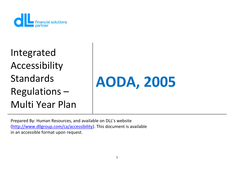

Integrated Accessibility Standards Regulations – Multi Year Plan

# **AODA, 2005**

Prepared By: Human Resources, and available on DLL's website [\(http://www.dllgroup.com/ca/accessibility\)](http://www.dllgroup.com/ca/accessibility). This document is available in an accessible format upon request.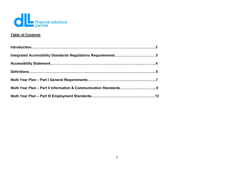

## **Table of Contents**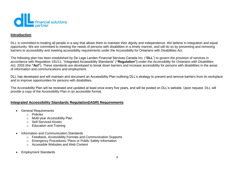

#### **Introduction**

DLL is committed to treating all people in a way that allows them to maintain their dignity and independence. We believe in integration and equal opportunity. We are committed to meeting the needs of persons with disabilities in a timely manner, and will do so by preventing and removing barriers to accessibility and meeting accessibility requirements under the Accessibility for Ontarians with Disabilities Act.

The following plan has been established by De Lage Landen Financial Services Canada Inc. ("**DLL**") to govern the provision of services in accordance with Regulation 191/11, "Integrated Accessibility Standards" (**"Regulation")** under the *Accessibility for Ontarians with Disabilities Act, 2005* (the **"Act"**)*.* These standards are developed to break down barriers and increase accessibility for persons with disabilities in the areas of information and communications and employment.

DLL has developed and will maintain and document an Accessibility Plan outlining DLL"s strategy to prevent and remove barriers from its workplace and to improve opportunities for persons with disabilities.

The Accessibility Plan will be reviewed and updated at least once every five years, and will be posted on DLL"s website. Upon request, DLL will provide a copy of the Accessibility Plan in an accessible format.

#### **Integrated Accessibility Standards Regulation(IASR) Requirements**

- General Requirements
	- o Policies
	- o Multi-year Accessibility Plan
	- o Self-Serviced Kiosks
	- o Education and Training
- Information and Communication Standards
	- o Feedback, Accessibility Formats and Communication Supports
	- o Emergency Procedures, Plans or Public Safety Information
	- o Accessible Websites and Web Content
- Employment Standards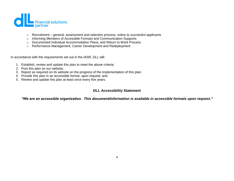

- $\circ$  Recruitment general, assessment and selection process, notice to successful applicants
- o Informing Members of Accessible Formats and Communication Supports
- o Documented Individual Accommodation Plans, and Return to Work Process
- o Performance Management, Career Development and Redeployment

In accordance with the requirements set out in the IASR, DLL will:

- 1. Establish, review and update this plan to meet the above criteria;
- 2. Post this plan on our website;
- 3. Report as required on its website on the progress of the implementation of this plan;
- 4. Provide this plan in an accessible format, upon request; and
- 5. Review and update this plan at least once every five years.

## **DLL Accessibility Statement**

*"We are an accessible organization. This document/information is available in accessible formats upon request."*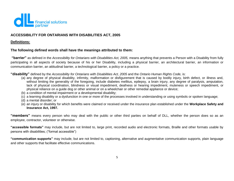

## **ACCESSIBILITY FOR ONTARIANS WITH DISABILITIES ACT, 2005**

#### **Definitions:**

#### **The following defined words shall have the meanings attributed to them:**

**"barrier"** as defined in the *Accessibility for Ontarians with Disabilities Act, 2005,* means anything that prevents a Person with a Disability from fully participating in all aspects of society because of his or her Disability, including a physical barrier, an architectural barrier, an information or communication barrier, an attitudinal barrier, a technological barrier, a policy or a practice.

**"disability"** defined by the *Accessibility for Ontarians with Disabilities Act, 2005* and the *Ontario Human Rights Code,* is:

- (a) any degree of physical disability, infirmity, malformation or disfigurement that is caused by bodily injury, birth defect, or illness and, without limiting the generality of the foregoing, include diabetes mellitus, epilepsy, a brain injury, any degree of paralysis, amputation, lack of physical coordination, blindness or visual impediment, deafness or hearing impediment, muteness or speech impediment, or physical reliance on a guide dog or other animal or on a wheelchair or other remedial appliance or device;
- (b) a condition of mental impairment or a developmental disability;
- (c) a learning disability or a dysfunction in one or more of the processes involved in understanding or using symbols or spoken language;
- (d) a mental disorder; or
- (e) an injury or disability for which benefits were claimed or received under the insurance plan established under the **Workplace Safety and Insurance Act, 1997.**

**"members"** means every person who may deal with the public or other third parties on behalf of DLL, whether the person does so as an employee, contractor, volunteer or otherwise.

**"accessible formats"** may include, but are not limited to, large print, recorded audio and electronic formats, Braille and other formats usable by persons with disabilities; ("format accessible")

**"communication supports''** may include, but are not limited to, captioning, alternative and augmentative communication supports, plain language and other supports that facilitate effective communications.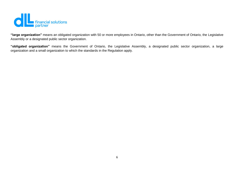

**"large organization"** means an obligated organization with 50 or more employees in Ontario, other than the Government of Ontario, the Legislative Assembly or a designated public sector organization.

**"obligated organization"** means the Government of Ontario, the Legislative Assembly, a designated public sector organization, a large organization and a small organization to which the standards in the Regulation apply.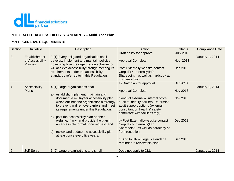

## **INTEGRATED ACCESSIBILITY STANDARDS – Multi Year Plan**

#### **Part I – GENERAL REQUIREMENTS**

| Section | Initiative                          | <b>Description</b>                                                                                                                                                                                                            | Action                                                                                                                                                                            | <b>Status</b>    | <b>Compliance Date</b> |
|---------|-------------------------------------|-------------------------------------------------------------------------------------------------------------------------------------------------------------------------------------------------------------------------------|-----------------------------------------------------------------------------------------------------------------------------------------------------------------------------------|------------------|------------------------|
| 3       | Establishment                       | 3.(1) Every obligated organization shall                                                                                                                                                                                      | Draft policy for approval                                                                                                                                                         | <b>July 2013</b> | January 1, 2014        |
|         | of Accessibility<br><b>Policies</b> | develop, implement and maintain policies<br>governing how the organization achieves or                                                                                                                                        | <b>Approval Complete</b>                                                                                                                                                          | Nov 2013         |                        |
|         |                                     | will achieve accessibility through meeting its<br>requirements under the accessibility                                                                                                                                        | Post Externally (website-contact                                                                                                                                                  | Dec 2013         |                        |
|         |                                     | standards referred to in this Regulation.                                                                                                                                                                                     | Corp IT) & Internally(HR<br>Sharepoint), as well as hardcopy at<br>front reception                                                                                                |                  |                        |
|         |                                     |                                                                                                                                                                                                                               | a) Draft plan for approval                                                                                                                                                        | Oct 2013         |                        |
| 4       | Accessibility<br>Plans              | 4.(1) Large organizations shall,<br>establish, implement, maintain and<br>a)                                                                                                                                                  | <b>Approval Complete</b>                                                                                                                                                          | <b>Nov 2013</b>  | <b>January 1, 2014</b> |
|         |                                     | document a multi-year accessibility plan,<br>which outlines the organization's strategy<br>to prevent and remove barriers and meet<br>its requirements under this Regulation;                                                 | Conduct external & internal office<br>audit to identify barriers. Determine<br>audit support options (external<br>consultant or health & safety<br>committee with facilities mgr) | Nov 2013         |                        |
|         |                                     | b) post the accessibility plan on their<br>website, if any, and provide the plan in<br>an accessible format upon request; and<br>review and update the accessibility plan<br>$\mathcal{C}$<br>at least once every five years. | b) Post Externally (website-contact<br>Corp IT) & Internally(HR<br>Sharepoint), as well as hardcopy at<br>front reception                                                         | Dec 2013         |                        |
|         |                                     |                                                                                                                                                                                                                               | c) Add to HR & Legal calendar a<br>reminder to review this plan                                                                                                                   | Dec 2013         |                        |
| 6       | Self-Serve                          | 6.(2) Large organizations and small                                                                                                                                                                                           | Does not apply to DLL                                                                                                                                                             |                  | <b>January 1, 2014</b> |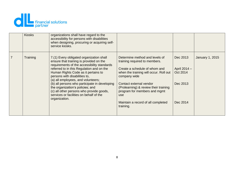

|                | <b>Kiosks</b> | organizations shall have regard to the<br>accessibility for persons with disabilities<br>when designing, procuring or acquiring self-<br>service kiosks.                                                                                                                                                                                                                                                                                                                                   |                                                                                                                                                                                                                                                                                                                          |                                                              |                        |
|----------------|---------------|--------------------------------------------------------------------------------------------------------------------------------------------------------------------------------------------------------------------------------------------------------------------------------------------------------------------------------------------------------------------------------------------------------------------------------------------------------------------------------------------|--------------------------------------------------------------------------------------------------------------------------------------------------------------------------------------------------------------------------------------------------------------------------------------------------------------------------|--------------------------------------------------------------|------------------------|
| $\overline{7}$ | Training      | 7.(1) Every obligated organization shall<br>ensure that training is provided on the<br>requirements of the accessibility standards<br>referred to in this Regulation and on the<br>Human Rights Code as it pertains to<br>persons with disabilities to,<br>(a) all employees, and volunteers;<br>(b) all persons who participate in developing<br>the organization's policies; and<br>(c) all other persons who provide goods,<br>services or facilities on behalf of the<br>organization. | Determine method and levels of<br>training required to members.<br>Create a schedule of whom and<br>when the training will occur. Roll out<br>company wide<br>Contact external vendor<br>(Prolearning) & review their training<br>program for members and mgmt<br>use<br>Maintain a record of all completed<br>training. | Dec 2013<br>April 2014 -<br>Oct 2014<br>Dec 2013<br>Dec 2014 | <b>January 1, 2015</b> |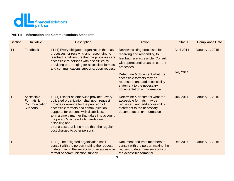

## **PART II – Information and Communications Standards**

| <b>Section</b> | Initiative                                                  | <b>Description</b>                                                                                                                                                                                                                                                                                                                                                                                                      | Action                                                                                                                                                                                                                                                                                                              | <b>Status</b>                         | <b>Compliance Date</b> |
|----------------|-------------------------------------------------------------|-------------------------------------------------------------------------------------------------------------------------------------------------------------------------------------------------------------------------------------------------------------------------------------------------------------------------------------------------------------------------------------------------------------------------|---------------------------------------------------------------------------------------------------------------------------------------------------------------------------------------------------------------------------------------------------------------------------------------------------------------------|---------------------------------------|------------------------|
| 11             | Feedback                                                    | 11.(1) Every obligated organization that has<br>processes for receiving and responding to<br>feedback shall ensure that the processes are<br>accessible to persons with disabilities by<br>providing or arranging for accessible formats<br>and communications supports, upon request.                                                                                                                                  | Review existing processes for<br>receiving and responding to<br>feedback are accessible. Consult<br>with operational areas on current<br>processes.<br>Determine & document what the<br>accessible formats may be<br>requested, and add accessibility<br>statement to the necessary<br>documentation or information | <b>April 2014</b><br><b>July 2014</b> | <b>January 1, 2015</b> |
| 12             | Accessible<br>Formats &<br>Communication<br><b>Supports</b> | 12.(1) Except as otherwise provided, every<br>obligated organization shall upon request<br>provide or arrange for the provision of<br>accessible formats and communication<br>supports for persons with disabilities,<br>a) in a timely manner that takes into account<br>the person's accessibility needs due to<br>disability; and<br>b) at a cost that is no more than the regular<br>cost charged to other persons. | Determine & document what the<br>accessible formats may be<br>requested, and add accessibility<br>statement to the necessary<br>documentation or information                                                                                                                                                        | <b>July 2014</b>                      | <b>January 1, 2016</b> |
| 12             |                                                             | 12.(2) The obligated organization shall<br>consult with the person making the request<br>in determining the suitability of an accessible<br>format or communication support.                                                                                                                                                                                                                                            | Document and train members to<br>consult with the person making the<br>request to determine suitability of<br>the accessible format or                                                                                                                                                                              | Dec 2014                              | <b>January 1, 2016</b> |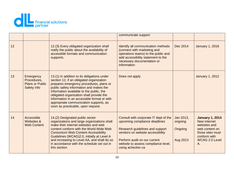

|    |                                                                   |                                                                                                                                                                                                                                                                                                                                                                                                      | communicate support                                                                                                                                                                                                                       |                                             |                                                                                                                                             |
|----|-------------------------------------------------------------------|------------------------------------------------------------------------------------------------------------------------------------------------------------------------------------------------------------------------------------------------------------------------------------------------------------------------------------------------------------------------------------------------------|-------------------------------------------------------------------------------------------------------------------------------------------------------------------------------------------------------------------------------------------|---------------------------------------------|---------------------------------------------------------------------------------------------------------------------------------------------|
| 12 |                                                                   | 12.(3) Every obligated organization shall<br>notify the public about the availability of<br>accessible formats and communication<br>supports.                                                                                                                                                                                                                                                        | <b>Identify all communication methods</b><br>(connect with marketing and<br>operations teams) to the public and<br>add accessibility statement to the<br>necessary documentation or<br><i>information</i>                                 | Dec 2014                                    | <b>January 1, 2016</b>                                                                                                                      |
| 13 | Emergency<br>Procedures,<br><b>Plans or Public</b><br>Safety Info | 13.(1) In addition to its obligations under<br>section 12, if an obligated organization<br>prepares emergency procedures, plans or<br>public safety information and makes the<br>information available to the public, the<br>obligated organization shall provide the<br>information in an accessible format or with<br>appropriate communication supports, as<br>soon as practicable, upon request. | Does not apply                                                                                                                                                                                                                            |                                             | <b>January 1, 2012</b>                                                                                                                      |
| 14 | Accessible<br>Websites &<br><b>Web Content</b>                    | 14.(2) Designated public sector<br>organizations and large organizations shall<br>make their internet websites and web<br>content conform with the World Wide Web<br><b>Consortium Web Content Accessibility</b><br>Guidelines (WCAG)2.0, initially at Level A<br>and increasing to Level AA, and shall do so<br>in accordance with the schedule set out in<br>this section.                         | Consult with corporate IT dept of the<br>upcoming compliance deadlines<br>Research guidelines and support<br>vendors on website accessibility<br>Perform audit on our current<br>website to assess compliance level,<br>using achecker.ca | Jan 2013,<br>ongoing<br>Ongoing<br>Aug 2013 | <b>January 1, 2014</b><br>New internet<br>websites and<br>web content on<br>those sites must<br>conform with<br><b>WCAG 2.0 Level</b><br>Α. |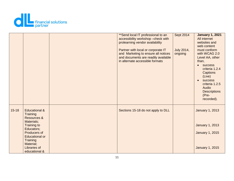

|           |                                                                                                                                                                                                                     | ** Send local IT professional to an<br>accessibility workshop - check with<br>prolearning vendor availability<br>Partner with local or corporate IT<br>and Marketing to ensure all notices<br>and documents are readily available<br>in alternate accessible formats | <b>Sept 2014</b><br>July 2014,<br>ongoing | <b>January 1, 2021</b><br>All internet<br>websites and<br>web content<br>must conform<br>with WCAG 2.0<br>Level AA, other<br>than,<br>success<br>$\bullet$<br>criteria 1.2.4<br>Captions<br>(Live)<br>success<br>$\bullet$<br>criteria 1.2.5<br>Audio<br><b>Descriptions</b><br>(Pre-<br>recorded). |
|-----------|---------------------------------------------------------------------------------------------------------------------------------------------------------------------------------------------------------------------|----------------------------------------------------------------------------------------------------------------------------------------------------------------------------------------------------------------------------------------------------------------------|-------------------------------------------|-----------------------------------------------------------------------------------------------------------------------------------------------------------------------------------------------------------------------------------------------------------------------------------------------------|
| $15 - 18$ | <b>Educational &amp;</b><br>Training<br><b>Resources &amp;</b><br>Materials;<br><b>Training to</b><br>Educators;<br>Producers of<br><b>Educational or</b><br>Training<br>Material;<br>Libraries of<br>educational & | Sections 15-18 do not apply to DLL                                                                                                                                                                                                                                   |                                           | <b>January 1, 2013</b><br><b>January 1, 2013</b><br><b>January 1, 2015</b><br><b>January 1, 2015</b>                                                                                                                                                                                                |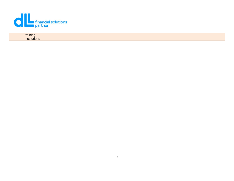

| training           |  |  |
|--------------------|--|--|
| <b>nstitutions</b> |  |  |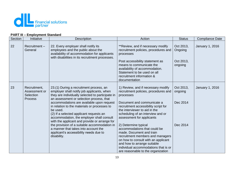

### **PART III – Employment Standard**

| Section | Initiative                                                   | <b>Description</b>                                                                                                                                                                                                                                                                                                                                                                                                                                                                                                                                                                       | Action                                                                                                                                                                                                                                                                                                                                                                                                                                                                                                 | <b>Status</b>                                | <b>Compliance Date</b> |
|---------|--------------------------------------------------------------|------------------------------------------------------------------------------------------------------------------------------------------------------------------------------------------------------------------------------------------------------------------------------------------------------------------------------------------------------------------------------------------------------------------------------------------------------------------------------------------------------------------------------------------------------------------------------------------|--------------------------------------------------------------------------------------------------------------------------------------------------------------------------------------------------------------------------------------------------------------------------------------------------------------------------------------------------------------------------------------------------------------------------------------------------------------------------------------------------------|----------------------------------------------|------------------------|
| 22      | Recruitment-<br>General                                      | 22. Every employer shall notify its<br>employees and the public about the<br>availability of accommodation for applicants<br>with disabilities in its recruitment processes.                                                                                                                                                                                                                                                                                                                                                                                                             | ** Review, and if necessary modify<br>recruitment policies, procedures and<br>processes                                                                                                                                                                                                                                                                                                                                                                                                                | Oct 2013,<br>Ongoing                         | January 1, 2016        |
|         |                                                              |                                                                                                                                                                                                                                                                                                                                                                                                                                                                                                                                                                                          | Post accessibility statement as<br>means to communicate the<br>availability of accommodation.<br>Statement to be used on all<br>recruitment information &<br>documentation                                                                                                                                                                                                                                                                                                                             | Oct 2013,<br>ongoing                         |                        |
| 23      | Recruitment,<br>Assessment or<br>Selection<br><b>Process</b> | 23.(1) During a recruitment process, an<br>employer shall notify job applicants, when<br>they are individually selected to participate in<br>an assessment or selection process, that<br>accommodations are available upon request<br>in relation to the materials or processes to<br>be used.<br>(2) If a selected applicant requests an<br>accommodation, the employer shall consult<br>with the applicant and provide or arrange for<br>the provision of a suitable accommodation in<br>a manner that takes into account the<br>applicant's accessibility needs due to<br>disability. | 1) Review, and if necessary modify<br>recruitment policies, procedures and<br>processes<br>Document and communicate a<br>recruitment accessibility script for<br>the interviewer to aid in the<br>scheduling of an interview and or<br>assessment for applicants<br>2) Determine typical<br>accommodations that could be<br>made. Document and train<br>recruitment members and managers<br>on how to consult with an applicant<br>and how to arrange suitable<br>individual accommodations that is or | Oct 2013,<br>ongoing<br>Dec 2014<br>Dec 2014 | January 1, 2016        |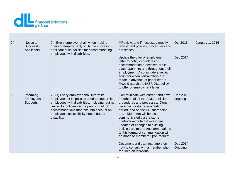

| Notice to<br>Successful<br>Applicants        | 24. Every employer shall, when making<br>offers of employment, notify the successful<br>applicant of its policies for accommodating                                                                                                                                                            | ** Review, and if necessary modify<br>recruitment policies, procedures and<br>processes                                                                                                                                                                                                                                                                                                                                                                      | Oct 2013                                                   | January 1, 2016 |
|----------------------------------------------|------------------------------------------------------------------------------------------------------------------------------------------------------------------------------------------------------------------------------------------------------------------------------------------------|--------------------------------------------------------------------------------------------------------------------------------------------------------------------------------------------------------------------------------------------------------------------------------------------------------------------------------------------------------------------------------------------------------------------------------------------------------------|------------------------------------------------------------|-----------------|
|                                              |                                                                                                                                                                                                                                                                                                | Update the offer of employment<br>letter to notify candidates of<br>accommodation processed are in<br>place upon hire and throughout their<br>employment. Also include a verbal<br>script for when verbal offers are<br>made in advance of paper letters<br>** could attach the IASR DLL policy<br>to offer of employment letter                                                                                                                             | Dec 2014                                                   |                 |
| Informing<br>Employees of<br><b>Supports</b> | 25.(1) Every employer shall inform its<br>employees of its policies used to support its<br>employees with disabilities, including, but not<br>limited to, policies on the provision of job<br>accommodations that take into account an<br>employee's accessibility needs due to<br>disability. | Communicate with current and new<br>members of all the AODA policies,<br>procedures and processes. Done<br>via email, or during orientation<br>period, and on the HR sharepoint,<br>etc Members will be also<br>communicated via the same<br>methods as noted above when<br>updates or changes to existing<br>policies are made. Accommodations<br>to this format of communication will<br>be made to members upon request<br>Document and train managers on | Dec 2013,<br>ongoing<br>Dec 2014                           |                 |
|                                              |                                                                                                                                                                                                                                                                                                | employees with disabilities.                                                                                                                                                                                                                                                                                                                                                                                                                                 | how to consult with a member who<br>requires an individual | Ongoing         |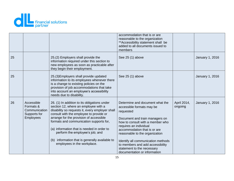

|    |                                                                              |                                                                                                                                                                                                                                                                                                                                                                                                                                            | accommodation that is or are<br>reasonable to the organization<br>** Accessibility statement shall be<br>added to all documents issued to<br>members                                                                                                                                                                                                                                |                        |                 |
|----|------------------------------------------------------------------------------|--------------------------------------------------------------------------------------------------------------------------------------------------------------------------------------------------------------------------------------------------------------------------------------------------------------------------------------------------------------------------------------------------------------------------------------------|-------------------------------------------------------------------------------------------------------------------------------------------------------------------------------------------------------------------------------------------------------------------------------------------------------------------------------------------------------------------------------------|------------------------|-----------------|
| 25 |                                                                              | 25.(2) Employers shall provide the<br>information required under this section to<br>new employees as soon as practicable after<br>they begin their employment.                                                                                                                                                                                                                                                                             | See 25 (1) above                                                                                                                                                                                                                                                                                                                                                                    |                        | January 1, 2016 |
| 25 |                                                                              | 25.(3) Employers shall provide updated<br>information to its employees whenever there<br>is a change to existing policies on the<br>provision of job accommodations that take<br>into account an employee's accessibility<br>needs due to disability.                                                                                                                                                                                      | See 25 (1) above                                                                                                                                                                                                                                                                                                                                                                    |                        | January 1, 2016 |
| 26 | Accessible<br>Formats &<br>Communication<br>Supports for<br><b>Employees</b> | 26. (1) In addition to its obligations under<br>section 12, where an employee with a<br>disability so requests it, every employer shall<br>consult with the employee to provide or<br>arrange for the provision of accessible<br>formats and communication supports for,<br>(a) information that is needed in order to<br>perform the employee's job; and<br>(b) information that is generally available to<br>employees in the workplace. | Determine and document what the<br>accessible formats may be<br>requested<br>Document and train managers on<br>how to consult with a member who<br>requires an individual<br>accommodation that is or are<br>reasonable to the organization<br>Identify all communication methods<br>to members and add accessibility<br>statement to the necessary<br>documentation or information | April 2014,<br>ongoing | January 1, 2016 |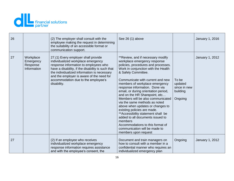

| 26 |                                                   | (2) The employer shall consult with the<br>employee making the request in determining<br>the suitability of an accessible format or<br>communication support.                                                                                                                                                             | See 26 (1) above                                                                                                                                                                                                                                                                                                                                                                                                                                                                                                                                                                                                                                                                     |                                                         | January 1, 2016 |
|----|---------------------------------------------------|---------------------------------------------------------------------------------------------------------------------------------------------------------------------------------------------------------------------------------------------------------------------------------------------------------------------------|--------------------------------------------------------------------------------------------------------------------------------------------------------------------------------------------------------------------------------------------------------------------------------------------------------------------------------------------------------------------------------------------------------------------------------------------------------------------------------------------------------------------------------------------------------------------------------------------------------------------------------------------------------------------------------------|---------------------------------------------------------|-----------------|
| 27 | Workplace<br>Emergency<br>Response<br>Information | 27.(1) Every employer shall provide<br>individualized workplace emergency<br>response information to employees who<br>have a disability, if the disability is such that<br>the individualized information is necessary<br>and the employer is aware of the need for<br>accommodation due to the employee's<br>disability. | ** Review, and if necessary modify<br>workplace emergency response<br>policies, procedures and processes.<br>Work in conjunction with the Health<br>& Safely Committee.<br>Communicate with current and new<br>members of workplace emergency<br>response information. Done via<br>email, or during orientation period,<br>and on the HR Sharepoint, etc<br>Members will be also communicated<br>via the same methods as noted<br>above when updates or changes to<br>existing policies are made.<br>** Accessibility statement shall be<br>added to all documents issued to<br>members<br>Accommodations to this format of<br>communication will be made to<br>members upon request | To be<br>updated<br>since in new<br>building<br>Ongoing | January 1, 2012 |
| 27 |                                                   | (2) If an employee who receives<br>individualized workplace emergency<br>response information requires assistance<br>and with the employee's consent, the                                                                                                                                                                 | Document and train managers on<br>how to consult with a member in a<br>confidential manner who requires an<br>individualized emergency plan                                                                                                                                                                                                                                                                                                                                                                                                                                                                                                                                          | Ongoing                                                 | January 1, 2012 |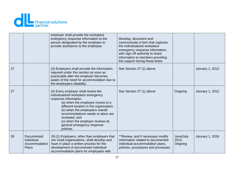

|    |                                                    | employer shall provide the workplace<br>emergency response information to the<br>person designated by the employer to<br>provide assistance to the employee.                                                                                                                                                                                               | Develop, document and<br>communicate a form that captures<br>the individualized workplace<br>emergency response information,<br>with sign off authority to share<br>information to members providing<br>the support during those times |                              |                 |
|----|----------------------------------------------------|------------------------------------------------------------------------------------------------------------------------------------------------------------------------------------------------------------------------------------------------------------------------------------------------------------------------------------------------------------|----------------------------------------------------------------------------------------------------------------------------------------------------------------------------------------------------------------------------------------|------------------------------|-----------------|
| 27 |                                                    | (3) Employers shall provide the information<br>required under this section as soon as<br>practicable after the employer becomes<br>aware of the need for accommodation due to<br>the employee's disability.                                                                                                                                                | See Section 27 (1) above                                                                                                                                                                                                               |                              | January 1, 2012 |
| 27 |                                                    | (4) Every employer shall review the<br>individualized workplace emergency<br>response information,<br>(a) when the employee moves to a<br>different location in the organization;<br>(b) when the employee's overall<br>accommodations needs or plans are<br>reviewed; and<br>(c) when the employer reviews its<br>general emergency response<br>policies. | See Section 27 (1) above                                                                                                                                                                                                               | Ongoing                      | January 1, 2012 |
| 28 | Documented<br>Individual<br>Accommodation<br>Plans | 28.(1) Employers, other than employers that<br>are small organizations, shall develop and<br>have in place a written process for the<br>development of documented individual<br>accommodation plans for employees with                                                                                                                                     | ** Review, and if necessary modify<br>information related to documented<br>individual accommodation plans,<br>policies, procedures and processes                                                                                       | June/July<br>2014<br>Ongoing | January 1, 2016 |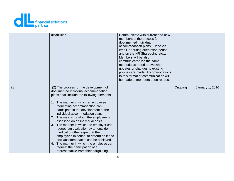

|    | disabilities.                                                                                                                                                                                                                                                                                                                                                                                                                                                                                                                                                                                                                                                                            | Communicate with current and new<br>members of the process for<br>documented individual<br>accommodation plans. Done via<br>email, or during orientation period,<br>and on the HR Sharepoint, etc<br>Members will be also<br>communicated via the same<br>methods as noted above when<br>updates or changes to existing<br>policies are made. Accommodations<br>to this format of communication will<br>be made to members upon request |         |                        |
|----|------------------------------------------------------------------------------------------------------------------------------------------------------------------------------------------------------------------------------------------------------------------------------------------------------------------------------------------------------------------------------------------------------------------------------------------------------------------------------------------------------------------------------------------------------------------------------------------------------------------------------------------------------------------------------------------|-----------------------------------------------------------------------------------------------------------------------------------------------------------------------------------------------------------------------------------------------------------------------------------------------------------------------------------------------------------------------------------------------------------------------------------------|---------|------------------------|
| 28 | (2) The process for the development of<br>documented individual accommodation<br>plans shall include the following elements:<br>1. The manner in which an employee<br>requesting accommodation can<br>participate in the development of the<br>individual accommodation plan.<br>2. The means by which the employee is<br>assessed on an individual basis.<br>3. The manner in which the employer can<br>request an evaluation by an outside<br>medical or other expert, at the<br>employer's expense, to determine if and<br>how accommodation can be achieved.<br>The manner in which the employee can<br>4.<br>request the participation of a<br>representative from their bargaining |                                                                                                                                                                                                                                                                                                                                                                                                                                         | Ongoing | <b>January 1, 2016</b> |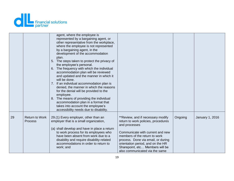

|    |                                         | agent, where the employee is<br>represented by a bargaining agent, or<br>other representative from the workplace,<br>where the employee is not represented<br>by a bargaining agent, in the<br>development of the accommodation<br>plan.<br>5. The steps taken to protect the privacy of<br>the employee's personal.<br>6. The frequency with which the individual<br>accommodation plan will be reviewed<br>and updated and the manner in which it<br>will be done.<br>7. If an individual accommodation plan is<br>denied, the manner in which the reasons<br>for the denial will be provided to the<br>employee.<br>8. The means of providing the individual<br>accommodation plan in a format that<br>takes into account the employee's<br>accessibility needs due to disability. |                                                                                                                                                                                                                                                                                                                 |         |                 |
|----|-----------------------------------------|---------------------------------------------------------------------------------------------------------------------------------------------------------------------------------------------------------------------------------------------------------------------------------------------------------------------------------------------------------------------------------------------------------------------------------------------------------------------------------------------------------------------------------------------------------------------------------------------------------------------------------------------------------------------------------------------------------------------------------------------------------------------------------------|-----------------------------------------------------------------------------------------------------------------------------------------------------------------------------------------------------------------------------------------------------------------------------------------------------------------|---------|-----------------|
| 29 | <b>Return to Work</b><br><b>Process</b> | 29.(1) Every employer, other than an<br>employer that is a small organization,<br>(a) shall develop and have in place a return<br>to work process for its employees who<br>have been absent from work due to a<br>disability and require disability-related<br>accommodations in order to return to<br>work; and                                                                                                                                                                                                                                                                                                                                                                                                                                                                      | ** Review, and if necessary modify<br>return to work policies, procedures<br>and processes<br>Communicate with current and new<br>members of the return to work<br>process. Done via email, or during<br>orientation period, and on the HR<br>Sharepoint, etc Members will be<br>also communicated via the same | Ongoing | January 1, 2016 |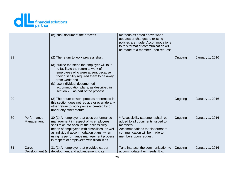

|    |                           | (b) shall document the process.                                                                                                                                                                                                                                                                                                                  | methods as noted above when<br>updates or changes to existing<br>policies are made. Accommodations<br>to this format of communication will<br>be made to a member upon request  |         |                 |
|----|---------------------------|--------------------------------------------------------------------------------------------------------------------------------------------------------------------------------------------------------------------------------------------------------------------------------------------------------------------------------------------------|---------------------------------------------------------------------------------------------------------------------------------------------------------------------------------|---------|-----------------|
| 29 |                           | (2) The return to work process shall,<br>(a) outline the steps the employer will take<br>to facilitate the return to work of<br>employees who were absent because<br>their disability required them to be away<br>from work; and<br>(b) use individual documented<br>accommodation plans, as described in<br>section 28, as part of the process. |                                                                                                                                                                                 | Ongoing | January 1, 2016 |
| 29 |                           | (3) The return to work process referenced in<br>this section does not replace or override any<br>other return to work process created by or<br>under any other statute.                                                                                                                                                                          |                                                                                                                                                                                 | Ongoing | January 1, 2016 |
| 30 | Performance<br>Management | 30.(1) An employer that uses performance<br>management in respect of its employees<br>shall take into account the accessibility<br>needs of employees with disabilities, as well<br>as individual accommodation plans, when<br>using its performance management process<br>in respect of employees with disabilities.                            | ** Accessibility statement shall be<br>added to all documents issued to<br>members<br>Accommodations to this format of<br>communication will be made to<br>members upon request | Ongoing | January 1, 2016 |
| 31 | Career<br>Development &   | 31.(1) An employer that provides career<br>development and advancement to its                                                                                                                                                                                                                                                                    | Take into acct the communication to<br>accommodate their needs. E.g.                                                                                                            | Ongoing | January 1, 2016 |